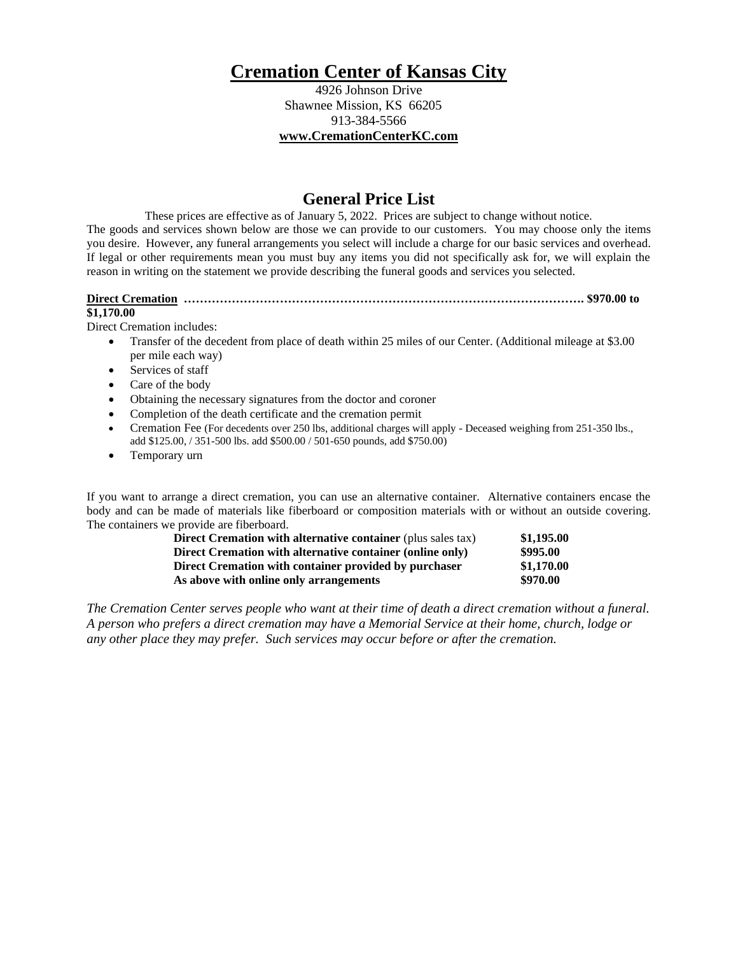# **Cremation Center of Kansas City**

4926 Johnson Drive Shawnee Mission, KS 66205 913-384-5566 **[www.CremationCenterKC.com](http://www.cremationcenterkc.com/)**

# **General Price List**

These prices are effective as of January 5, 2022. Prices are subject to change without notice. The goods and services shown below are those we can provide to our customers. You may choose only the items you desire. However, any funeral arrangements you select will include a charge for our basic services and overhead. If legal or other requirements mean you must buy any items you did not specifically ask for, we will explain the reason in writing on the statement we provide describing the funeral goods and services you selected.

**Direct Cremation ………………………………………………………………………………………. \$970.00 to** 

## **\$1,170.00**

Direct Cremation includes:

- Transfer of the decedent from place of death within 25 miles of our Center. (Additional mileage at \$3.00 per mile each way)
- Services of staff
- Care of the body
- Obtaining the necessary signatures from the doctor and coroner
- Completion of the death certificate and the cremation permit
- Cremation Fee (For decedents over 250 lbs, additional charges will apply Deceased weighing from 251-350 lbs., add \$125.00, / 351-500 lbs. add \$500.00 / 501-650 pounds, add \$750.00)
- Temporary urn

If you want to arrange a direct cremation, you can use an alternative container. Alternative containers encase the body and can be made of materials like fiberboard or composition materials with or without an outside covering. The containers we provide are fiberboard.

| <b>Direct Cremation with alternative container (plus sales tax)</b> | \$1,195.00 |
|---------------------------------------------------------------------|------------|
| Direct Cremation with alternative container (online only)           | \$995.00   |
| Direct Cremation with container provided by purchaser               | \$1,170.00 |
| As above with online only arrangements                              | \$970.00   |

*The Cremation Center serves people who want at their time of death a direct cremation without a funeral. A person who prefers a direct cremation may have a Memorial Service at their home, church, lodge or any other place they may prefer. Such services may occur before or after the cremation.*